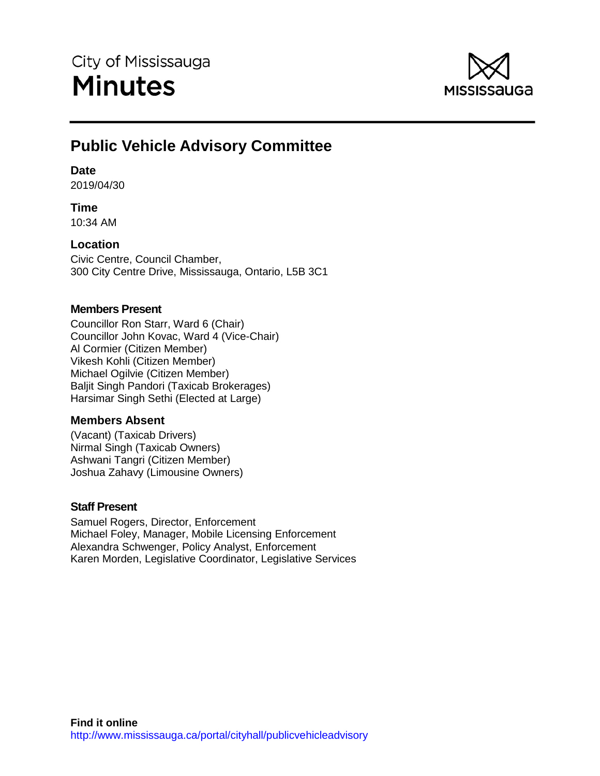

# **Public Vehicle Advisory Committee**

# **Date**

2019/04/30

# **Time**

10:34 AM

# **Location**

Civic Centre, Council Chamber, 300 City Centre Drive, Mississauga, Ontario, L5B 3C1

# **Members Present**

Councillor Ron Starr, Ward 6 (Chair) Councillor John Kovac, Ward 4 (Vice-Chair) Al Cormier (Citizen Member) Vikesh Kohli (Citizen Member) Michael Ogilvie (Citizen Member) Baljit Singh Pandori (Taxicab Brokerages) Harsimar Singh Sethi (Elected at Large)

# **Members Absent**

(Vacant) (Taxicab Drivers) Nirmal Singh (Taxicab Owners) Ashwani Tangri (Citizen Member) Joshua Zahavy (Limousine Owners)

# **Staff Present**

Samuel Rogers, Director, Enforcement Michael Foley, Manager, Mobile Licensing Enforcement Alexandra Schwenger, Policy Analyst, Enforcement Karen Morden, Legislative Coordinator, Legislative Services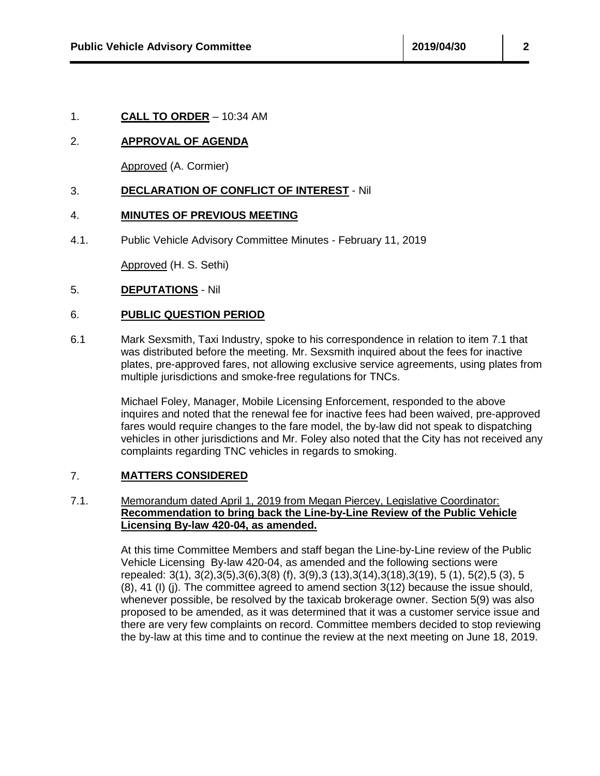## 2. **APPROVAL OF AGENDA**

Approved (A. Cormier)

## 3. **DECLARATION OF CONFLICT OF INTEREST** - Nil

## 4. **MINUTES OF PREVIOUS MEETING**

4.1. Public Vehicle Advisory Committee Minutes - February 11, 2019

Approved (H. S. Sethi)

#### 5. **DEPUTATIONS** - Nil

## 6. **PUBLIC QUESTION PERIOD**

6.1 Mark Sexsmith, Taxi Industry, spoke to his correspondence in relation to item 7.1 that was distributed before the meeting. Mr. Sexsmith inquired about the fees for inactive plates, pre-approved fares, not allowing exclusive service agreements, using plates from multiple jurisdictions and smoke-free regulations for TNCs.

> Michael Foley, Manager, Mobile Licensing Enforcement, responded to the above inquires and noted that the renewal fee for inactive fees had been waived, pre-approved fares would require changes to the fare model, the by-law did not speak to dispatching vehicles in other jurisdictions and Mr. Foley also noted that the City has not received any complaints regarding TNC vehicles in regards to smoking.

## 7. **MATTERS CONSIDERED**

#### 7.1. Memorandum dated April 1, 2019 from Megan Piercey, Legislative Coordinator: **Recommendation to bring back the Line-by-Line Review of the Public Vehicle Licensing By-law 420-04, as amended.**

At this time Committee Members and staff began the Line-by-Line review of the Public Vehicle Licensing By-law 420-04, as amended and the following sections were repealed: 3(1), 3(2),3(5),3(6),3(8) (f), 3(9),3 (13),3(14),3(18),3(19), 5 (1), 5(2),5 (3), 5 (8), 41 (I) (j). The committee agreed to amend section 3(12) because the issue should, whenever possible, be resolved by the taxicab brokerage owner. Section 5(9) was also proposed to be amended, as it was determined that it was a customer service issue and there are very few complaints on record. Committee members decided to stop reviewing the by-law at this time and to continue the review at the next meeting on June 18, 2019.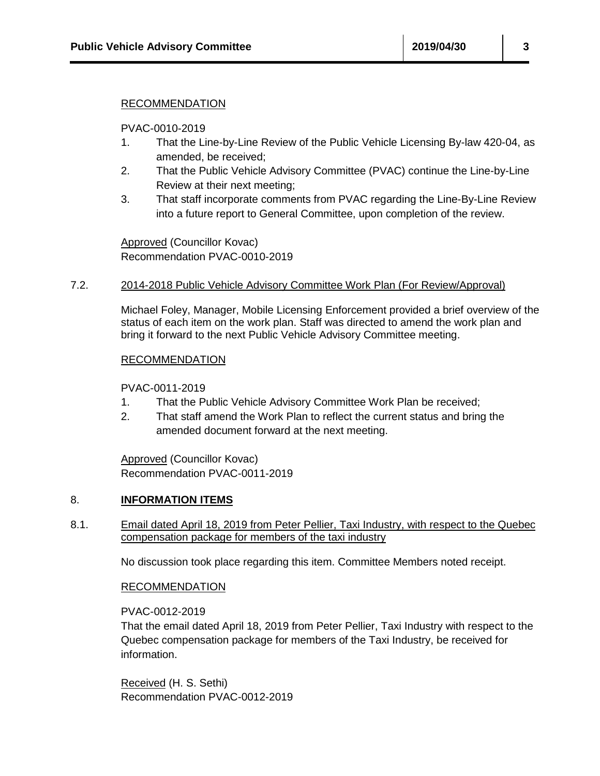#### RECOMMENDATION

PVAC-0010-2019

- 1. That the Line-by-Line Review of the Public Vehicle Licensing By-law 420-04, as amended, be received;
- 2. That the Public Vehicle Advisory Committee (PVAC) continue the Line-by-Line Review at their next meeting;
- 3. That staff incorporate comments from PVAC regarding the Line-By-Line Review into a future report to General Committee, upon completion of the review.

Approved (Councillor Kovac) Recommendation PVAC-0010-2019

#### 7.2. 2014-2018 Public Vehicle Advisory Committee Work Plan (For Review/Approval)

Michael Foley, Manager, Mobile Licensing Enforcement provided a brief overview of the status of each item on the work plan. Staff was directed to amend the work plan and bring it forward to the next Public Vehicle Advisory Committee meeting.

#### RECOMMENDATION

PVAC-0011-2019

- 1. That the Public Vehicle Advisory Committee Work Plan be received;
- 2. That staff amend the Work Plan to reflect the current status and bring the amended document forward at the next meeting.

Approved (Councillor Kovac) Recommendation PVAC-0011-2019

## 8. **INFORMATION ITEMS**

8.1. Email dated April 18, 2019 from Peter Pellier, Taxi Industry, with respect to the Quebec compensation package for members of the taxi industry

No discussion took place regarding this item. Committee Members noted receipt.

## RECOMMENDATION

PVAC-0012-2019

That the email dated April 18, 2019 from Peter Pellier, Taxi Industry with respect to the Quebec compensation package for members of the Taxi Industry, be received for information.

Received (H. S. Sethi) Recommendation PVAC-0012-2019